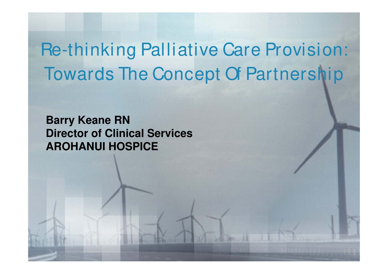Re-thinking Palliative Care Provision: Towards The Concept Of Partnership

**Barry Keane RN Director of Clinical Services AROHANUI HOSPICE**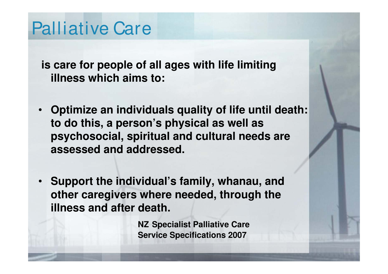### Palliative Care

**is care for people of all ages with life limiting illness which aims to:**

- **Optimize an individuals quality of life until death: to do this, a person's physical as well as psychosocial, spiritual and cultural needs are assessed and addressed.**
- **Support the individual's family, whanau, and other caregivers where needed, through the illness and after death.**

**NZ Specialist Palliative Care Service Specifications 2007**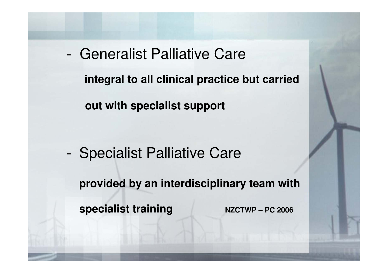- Generalist Palliative Care **integral to all clinical practice but carried out with specialist support**

- Specialist Palliative Care **provided by an interdisciplinary team with specialist training MINI NATE:** NZCTWP – PC 2006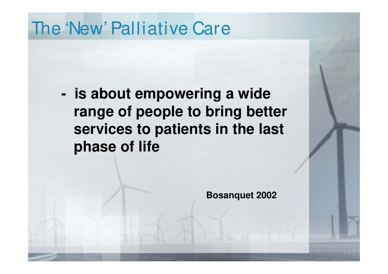### The 'New' Palliative Care

**- is about empowering a wide range of people to bring better services to patients in the last phase of life**

**Bosanquet 2002**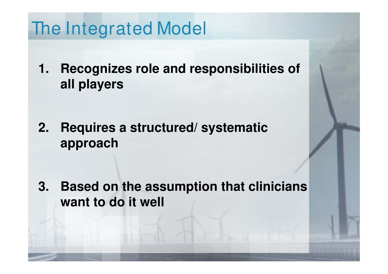### The Integrated Model

**1. Recognizes role and responsibilities of all players**

**2. Requires a structured/ systematic approach** 

**3. Based on the assumption that clinicians want to do it well**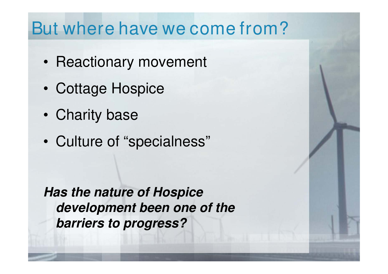### But where have we come from?

- Reactionary movement
- Cottage Hospice
- Charity base
- Culture of "specialness"

**Has the nature of Hospice development been one of the barriers to progress?**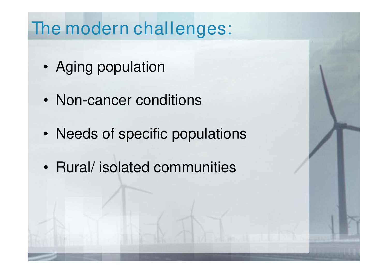### The modern challenges:

- Aging population
- Non-cancer conditions
- Needs of specific populations
- Rural/ isolated communities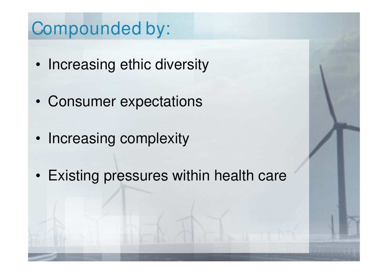### Compounded by:

- Increasing ethic diversity
- Consumer expectations
- Increasing complexity
- Existing pressures within health care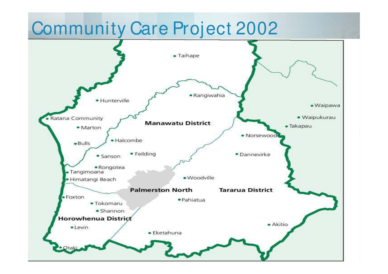### Community Care Project 2002

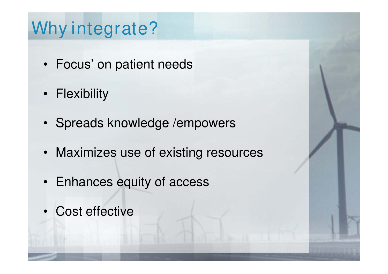## Why integrate?

- Focus' on patient needs
- Flexibility
- Spreads knowledge /empowers
- Maximizes use of existing resources
- Enhances equity of access
- Cost effective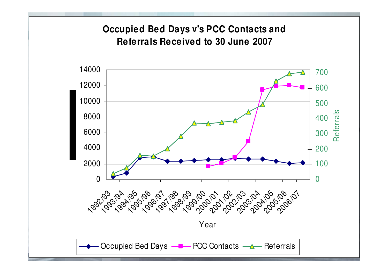#### **Occupied Bed Days v's PCC Contacts and Referrals Received to 30 June 2007**

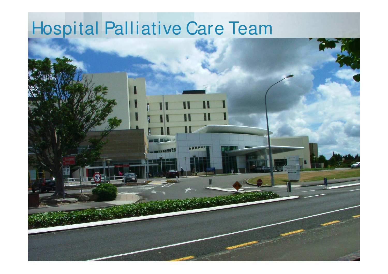# Hospital Palliative Care Team

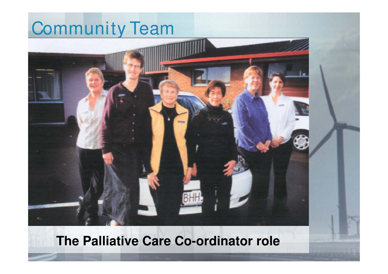# Community Team

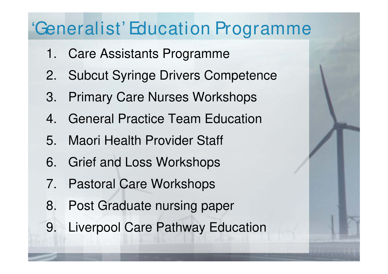### 'Generalist' Education Programme

- 1. Care Assistants Programme
- 2. Subcut Syringe Drivers Competence
- 3. Primary Care Nurses Workshops
- 4. General Practice Team Education
- 5. Maori Health Provider Staff
- 6. Grief and Loss Workshops
- 7. Pastoral Care Workshops
- 8. Post Graduate nursing paper
- 9. Liverpool Care Pathway Education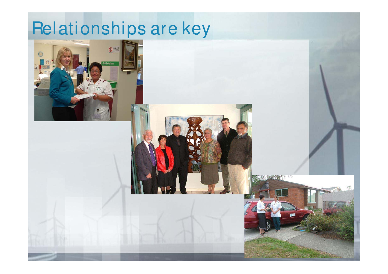# Relationships are key





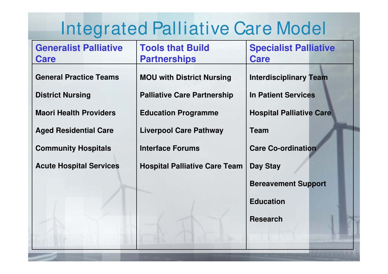# Integrated Palliative Care Model

| <b>Generalist Palliative</b><br><b>Care</b> | <b>Tools that Build</b><br><b>Partnerships</b> | <b>Specialist Palliative</b><br><b>Care</b> |
|---------------------------------------------|------------------------------------------------|---------------------------------------------|
| <b>General Practice Teams</b>               | <b>MOU with District Nursing</b>               | <b>Interdisciplinary Team</b>               |
| <b>District Nursing</b>                     | <b>Palliative Care Partnership</b>             | <b>In Patient Services</b>                  |
| <b>Maori Health Providers</b>               | <b>Education Programme</b>                     | <b>Hospital Palliative Care</b>             |
| <b>Aged Residential Care</b>                | <b>Liverpool Care Pathway</b>                  | <b>Team</b>                                 |
| <b>Community Hospitals</b>                  | <b>Interface Forums</b>                        | <b>Care Co-ordination</b>                   |
| <b>Acute Hospital Services</b>              | <b>Hospital Palliative Care Team</b>           | <b>Day Stay</b>                             |
|                                             |                                                | <b>Bereavement Support</b>                  |
|                                             |                                                | <b>Education</b>                            |
|                                             |                                                | <b>Research</b>                             |
|                                             |                                                |                                             |